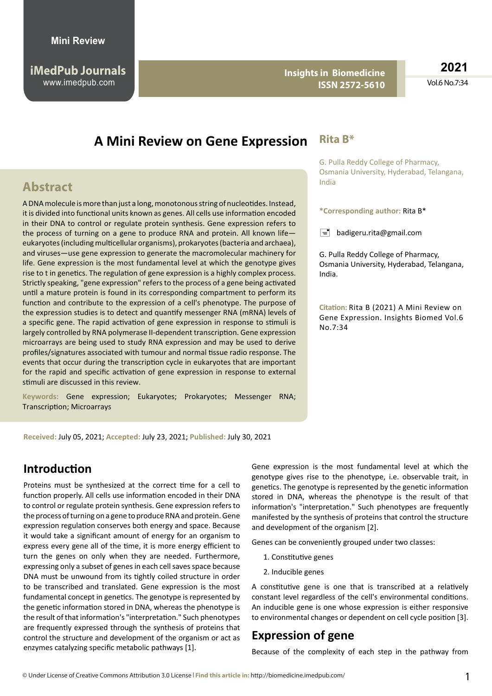**Insights in Biomedicine ISSN 2572-5610**

**2021** Vol.6 No.7:34

# **A Mini Review on Gene Expression**

## **Abstract**

A DNA molecule is more than just a long, monotonous string of nucleotides. Instead, it is divided into functional units known as genes. All cells use information encoded in their DNA to control or regulate protein synthesis. Gene expression refers to the process of turning on a gene to produce RNA and protein. All known life eukaryotes (including multicellular organisms), prokaryotes (bacteria and archaea), and viruses—use gene expression to generate the macromolecular machinery for life. Gene expression is the most fundamental level at which the genotype gives rise to t in genetics. The regulation of gene expression is a highly complex process. Strictly speaking, "gene expression" refers to the process of a gene being activated until a mature protein is found in its corresponding compartment to perform its function and contribute to the expression of a cell's phenotype. The purpose of the expression studies is to detect and quantify messenger RNA (mRNA) levels of a specific gene. The rapid activation of gene expression in response to stimuli is largely controlled by RNA polymerase II-dependent transcription. Gene expression microarrays are being used to study RNA expression and may be used to derive profiles/signatures associated with tumour and normal tissue radio response. The events that occur during the transcription cycle in eukaryotes that are important for the rapid and specific activation of gene expression in response to external stimuli are discussed in this review.

**Keywords:** Gene expression; Eukaryotes; Prokaryotes; Messenger RNA; Transcription; Microarrays

#### **Rita B\***

G. Pulla Reddy College of Pharmacy, Osmania University, Hyderabad, Telangana, India

**\*Corresponding author:** Rita B\*

 $\equiv$  [badigeru.rita@gmail.com](mailto:badigeru.rita@gmail.com)

G. Pulla Reddy College of Pharmacy, Osmania University, Hyderabad, Telangana, India.

**Citation:** Rita B (2021) A Mini Review on Gene Expression. Insights Biomed Vol.6 No.7:34

**Received:** July 05, 2021; **Accepted:** July 23, 2021; **Published:** July 30, 2021

## **Introduction**

Proteins must be synthesized at the correct time for a cell to function properly. All cells use information encoded in their DNA to control or regulate protein synthesis. Gene expression refers to the process of turning on a gene to produce RNA and protein. Gene expression regulation conserves both energy and space. Because it would take a significant amount of energy for an organism to express every gene all of the time, it is more energy efficient to turn the genes on only when they are needed. Furthermore, expressing only a subset of genes in each cell saves space because DNA must be unwound from its tightly coiled structure in order to be transcribed and translated. Gene expression is the most fundamental concept in genetics. The genotype is represented by the genetic information stored in DNA, whereas the phenotype is the result of that information's "interpretation." Such phenotypes are frequently expressed through the synthesis of proteins that control the structure and development of the organism or act as enzymes catalyzing specific metabolic pathways [1].

Gene expression is the most fundamental level at which the genotype gives rise to the phenotype, i.e. observable trait, in genetics. The genotype is represented by the genetic information stored in DNA, whereas the phenotype is the result of that information's "interpretation." Such phenotypes are frequently manifested by the synthesis of proteins that control the structure and development of the organism [2].

Genes can be conveniently grouped under two classes:

- 1. Constitutive genes
- 2. Inducible genes

A constitutive gene is one that is transcribed at a relatively constant level regardless of the cell's environmental conditions. An inducible gene is one whose expression is either responsive to environmental changes or dependent on cell cycle position [3].

#### **Expression of gene**

Because of the complexity of each step in the pathway from